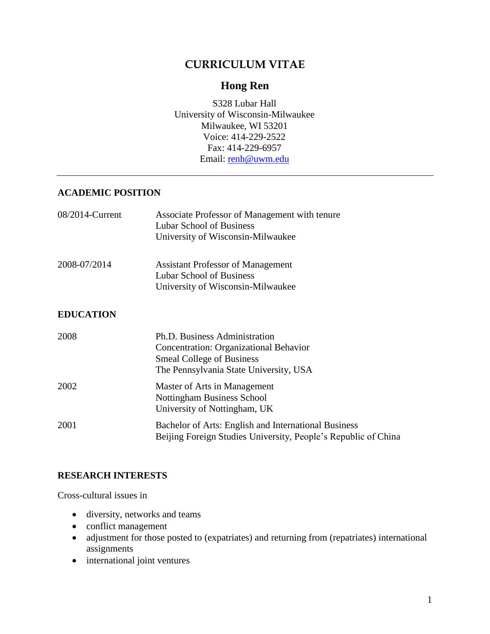# **CURRICULUM VITAE**

# **Hong Ren**

S328 Lubar Hall University of Wisconsin-Milwaukee Milwaukee, WI 53201 Voice: 414-229-2522 Fax: 414-229-6957 Email: [renh@uwm.edu](mailto:renh@uwm.edu)

## **ACADEMIC POSITION**

| 08/2014-Current             | Associate Professor of Management with tenure<br>Lubar School of Business                                                                                    |
|-----------------------------|--------------------------------------------------------------------------------------------------------------------------------------------------------------|
|                             | University of Wisconsin-Milwaukee                                                                                                                            |
| 2008-07/2014                | <b>Assistant Professor of Management</b><br><b>Lubar School of Business</b>                                                                                  |
|                             | University of Wisconsin-Milwaukee                                                                                                                            |
| <b>EDUCATION</b>            |                                                                                                                                                              |
| 2008                        | Ph.D. Business Administration<br><b>Concentration: Organizational Behavior</b><br><b>Smeal College of Business</b><br>The Pennsylvania State University, USA |
| 2002                        | Master of Arts in Management<br>Nottingham Business School<br>University of Nottingham, UK                                                                   |
| $\bigcap_{\alpha\in\alpha}$ | $\mathbf{D}$ ii $\mathbf{C}$ is $\mathbf{D}$ if $\mathbf{I}$ if $\mathbf{I}$                                                                                 |

## 2001 Bachelor of Arts: English and International Business Beijing Foreign Studies University, People's Republic of China

## **RESEARCH INTERESTS**

Cross-cultural issues in

- diversity, networks and teams
- conflict management
- adjustment for those posted to (expatriates) and returning from (repatriates) international assignments
- international joint ventures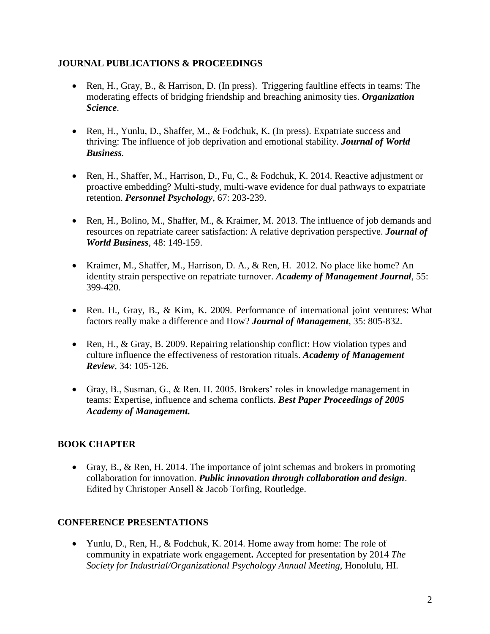## **JOURNAL PUBLICATIONS & PROCEEDINGS**

- Ren, H., Gray, B., & Harrison, D. (In press). Triggering faultline effects in teams: The moderating effects of bridging friendship and breaching animosity ties. *Organization Science*.
- Ren, H., Yunlu, D., Shaffer, M., & Fodchuk, K. (In press). Expatriate success and thriving: The influence of job deprivation and emotional stability. *Journal of World Business.*
- Ren, H., Shaffer, M., Harrison, D., Fu, C., & Fodchuk, K. 2014. Reactive adjustment or proactive embedding? Multi-study, multi-wave evidence for dual pathways to expatriate retention. *Personnel Psychology*, 67: 203-239.
- Ren, H., Bolino, M., Shaffer, M., & Kraimer, M. 2013. The influence of job demands and resources on repatriate career satisfaction: A relative deprivation perspective. *Journal of World Business*, 48: 149-159.
- Kraimer, M., Shaffer, M., Harrison, D. A., & Ren, H. 2012. No place like home? An identity strain perspective on repatriate turnover. *Academy of Management Journal*, 55: 399-420.
- Ren. H., Gray, B., & Kim, K. 2009. Performance of international joint ventures: What factors really make a difference and How? *Journal of Management,* 35: 805-832.
- Ren, H., & Gray, B. 2009. Repairing relationship conflict: How violation types and culture influence the effectiveness of restoration rituals. *Academy of Management Review,* 34: 105-126.
- Gray, B., Susman, G., & Ren. H. 2005. Brokers' roles in knowledge management in teams: Expertise, influence and schema conflicts. *Best Paper Proceedings of 2005 Academy of Management.*

## **BOOK CHAPTER**

 Gray, B., & Ren, H. 2014. The importance of joint schemas and brokers in promoting collaboration for innovation. *Public innovation through collaboration and design*. Edited by Christoper Ansell & Jacob Torfing, Routledge.

## **CONFERENCE PRESENTATIONS**

• Yunlu, D., Ren, H., & Fodchuk, K. 2014. Home away from home: The role of community in expatriate work engagement**.** Accepted for presentation by 2014 *The Society for Industrial/Organizational Psychology Annual Meeting,* Honolulu, HI.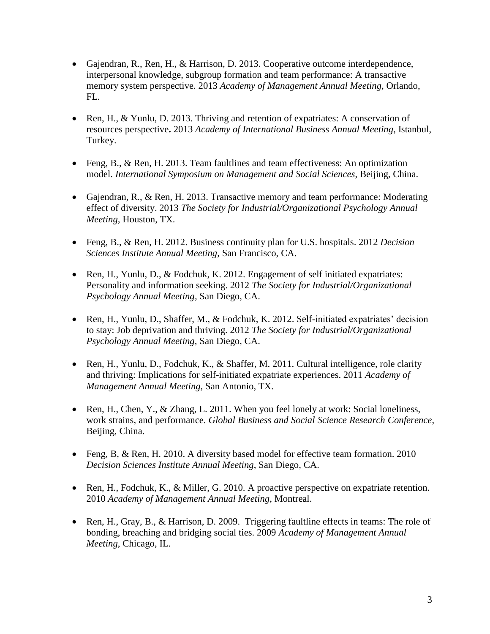- Gajendran, R., Ren, H., & Harrison, D. 2013. Cooperative outcome interdependence, interpersonal knowledge, subgroup formation and team performance: A transactive memory system perspective. 2013 *Academy of Management Annual Meeting,* Orlando, FL.
- Ren, H., & Yunlu, D. 2013. Thriving and retention of expatriates: A conservation of resources perspective**.** 2013 *Academy of International Business Annual Meeting*, Istanbul, Turkey.
- Feng, B., & Ren, H. 2013. Team faultlines and team effectiveness: An optimization model. *International Symposium on Management and Social Sciences*, Beijing, China.
- Gajendran, R., & Ren, H. 2013. Transactive memory and team performance: Moderating effect of diversity. 2013 *The Society for Industrial/Organizational Psychology Annual Meeting,* Houston, TX.
- Feng, B., & Ren, H. 2012. Business continuity plan for U.S. hospitals. 2012 *Decision Sciences Institute Annual Meeting,* San Francisco, CA.
- Ren, H., Yunlu, D., & Fodchuk, K. 2012. Engagement of self initiated expatriates: Personality and information seeking. 2012 *The Society for Industrial/Organizational Psychology Annual Meeting,* San Diego, CA.
- Ren, H., Yunlu, D., Shaffer, M., & Fodchuk, K. 2012. Self-initiated expatriates' decision to stay: Job deprivation and thriving. 2012 *The Society for Industrial/Organizational Psychology Annual Meeting,* San Diego, CA.
- Ren, H., Yunlu, D., Fodchuk, K., & Shaffer, M. 2011. Cultural intelligence, role clarity and thriving: Implications for self-initiated expatriate experiences. 2011 *Academy of Management Annual Meeting,* San Antonio, TX.
- Ren, H., Chen, Y., & Zhang, L. 2011. When you feel lonely at work: Social loneliness, work strains, and performance. *Global Business and Social Science Research Conference*, Beijing, China.
- Feng, B, & Ren, H. 2010. A diversity based model for effective team formation. 2010 *Decision Sciences Institute Annual Meeting*, San Diego, CA.
- Ren, H., Fodchuk, K., & Miller, G. 2010. A proactive perspective on expatriate retention. 2010 *Academy of Management Annual Meeting*, Montreal.
- Ren, H., Gray, B., & Harrison, D. 2009. Triggering faultline effects in teams: The role of bonding, breaching and bridging social ties. 2009 *Academy of Management Annual Meeting*, Chicago, IL.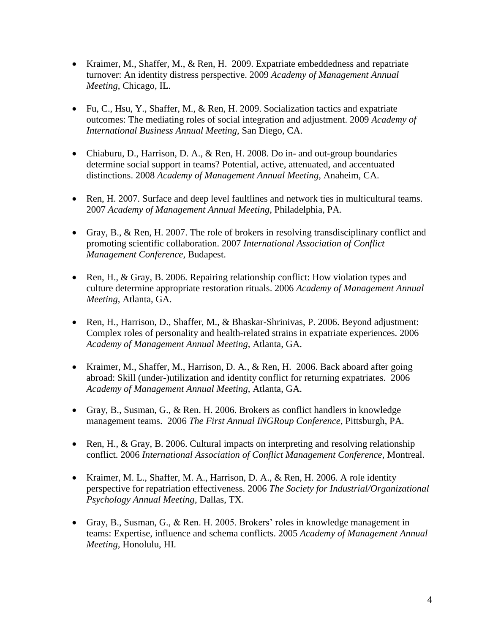- Kraimer, M., Shaffer, M., & Ren, H. 2009. Expatriate embeddedness and repatriate turnover: An identity distress perspective. 2009 *Academy of Management Annual Meeting*, Chicago, IL.
- Fu, C., Hsu, Y., Shaffer, M., & Ren, H. 2009. Socialization tactics and expatriate outcomes: The mediating roles of social integration and adjustment. 2009 *Academy of International Business Annual Meeting*, San Diego, CA.
- Chiaburu, D., Harrison, D. A., & Ren, H. 2008. Do in- and out-group boundaries determine social support in teams? Potential, active, attenuated, and accentuated distinctions. 2008 *Academy of Management Annual Meeting*, Anaheim, CA.
- Ren, H. 2007. Surface and deep level faultlines and network ties in multicultural teams. 2007 *Academy of Management Annual Meeting*, Philadelphia, PA.
- Gray, B., & Ren, H. 2007. The role of brokers in resolving transdisciplinary conflict and promoting scientific collaboration. 2007 *International Association of Conflict Management Conference*, Budapest.
- Ren, H., & Gray, B. 2006. Repairing relationship conflict: How violation types and culture determine appropriate restoration rituals. 2006 *Academy of Management Annual Meeting*, Atlanta, GA.
- Ren, H., Harrison, D., Shaffer, M., & Bhaskar-Shrinivas, P. 2006. Beyond adjustment: Complex roles of personality and health-related strains in expatriate experiences. 2006 *Academy of Management Annual Meeting*, Atlanta, GA.
- Kraimer, M., Shaffer, M., Harrison, D. A., & Ren, H. 2006. Back aboard after going abroad: Skill (under-)utilization and identity conflict for returning expatriates. 2006 *Academy of Management Annual Meeting*, Atlanta, GA.
- Gray, B., Susman, G., & Ren. H. 2006. Brokers as conflict handlers in knowledge management teams. 2006 *The First Annual INGRoup Conference*, Pittsburgh, PA.
- Ren, H., & Gray, B. 2006. Cultural impacts on interpreting and resolving relationship conflict. 2006 *International Association of Conflict Management Conference*, Montreal.
- Kraimer, M. L., Shaffer, M. A., Harrison, D. A., & Ren, H. 2006. A role identity perspective for repatriation effectiveness. 2006 *The Society for Industrial/Organizational Psychology Annual Meeting*, Dallas, TX.
- Gray, B., Susman, G., & Ren. H. 2005. Brokers' roles in knowledge management in teams: Expertise, influence and schema conflicts. 2005 *Academy of Management Annual Meeting,* Honolulu, HI.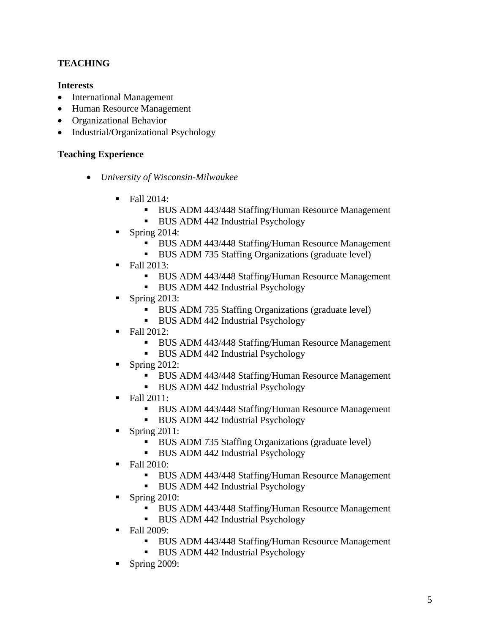## **TEACHING**

#### **Interests**

- International Management
- Human Resource Management
- Organizational Behavior
- Industrial/Organizational Psychology

## **Teaching Experience**

- *University of Wisconsin-Milwaukee*
	- $\blacksquare$  Fall 2014:
		- **BUS ADM 443/448 Staffing/Human Resource Management**
		- BUS ADM 442 Industrial Psychology
	- Spring  $2014$ :
		- **BUS ADM 443/448 Staffing/Human Resource Management**
		- BUS ADM 735 Staffing Organizations (graduate level)
	- $\blacksquare$  Fall 2013:
		- **BUS ADM 443/448 Staffing/Human Resource Management**
		- **BUS ADM 442 Industrial Psychology**
	- Spring 2013:
		- BUS ADM 735 Staffing Organizations (graduate level)
		- BUS ADM 442 Industrial Psychology
	- Fall 2012:
		- **BUS ADM 443/448 Staffing/Human Resource Management**
		- BUS ADM 442 Industrial Psychology
	- Spring 2012:
		- BUS ADM 443/448 Staffing/Human Resource Management
		- BUS ADM 442 Industrial Psychology
	- Fall 2011:
		- **BUS ADM 443/448 Staffing/Human Resource Management**
		- BUS ADM 442 Industrial Psychology
	- Spring 2011:
		- BUS ADM 735 Staffing Organizations (graduate level)
		- BUS ADM 442 Industrial Psychology
	- Fall 2010:
		- **BUS ADM 443/448 Staffing/Human Resource Management**
		- **BUS ADM 442 Industrial Psychology**
	- Spring  $2010$ :
		- **BUS ADM 443/448 Staffing/Human Resource Management**
		- BUS ADM 442 Industrial Psychology
	- Fall 2009:
		- **BUS ADM 443/448 Staffing/Human Resource Management**
		- BUS ADM 442 Industrial Psychology
	- Spring 2009: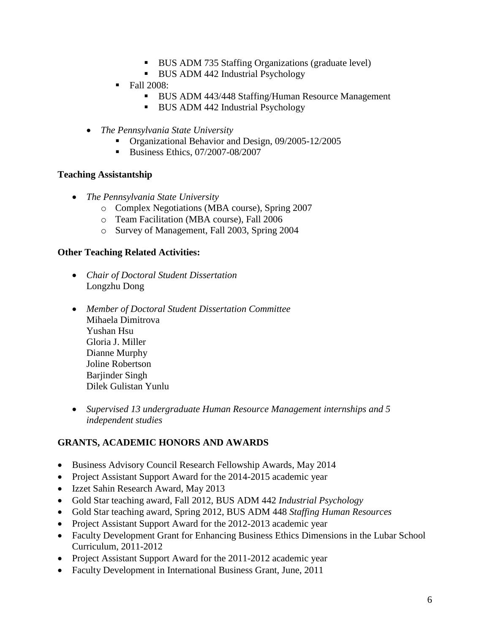- BUS ADM 735 Staffing Organizations (graduate level)
- BUS ADM 442 Industrial Psychology
- $\blacksquare$  Fall 2008:
	- **BUS ADM 443/448 Staffing/Human Resource Management**
	- BUS ADM 442 Industrial Psychology
- *The Pennsylvania State University*
	- Organizational Behavior and Design, 09/2005-12/2005
	- Business Ethics, 07/2007-08/2007

#### **Teaching Assistantship**

- *The Pennsylvania State University*
	- o Complex Negotiations (MBA course), Spring 2007
	- o Team Facilitation (MBA course), Fall 2006
	- o Survey of Management, Fall 2003, Spring 2004

#### **Other Teaching Related Activities:**

- *Chair of Doctoral Student Dissertation* Longzhu Dong
- *Member of Doctoral Student Dissertation Committee* Mihaela Dimitrova Yushan Hsu Gloria J. Miller Dianne Murphy Joline Robertson Barjinder Singh [Dilek Gulistan Yunlu](https://sbamail.sba.uwm.edu/exchange/renh/Inbox/Thriving%20Model%20Update.EML?Cmd=open)
- *Supervised 13 undergraduate Human Resource Management internships and 5 independent studies*

## **GRANTS, ACADEMIC HONORS AND AWARDS**

- Business Advisory Council Research Fellowship Awards, May 2014
- Project Assistant Support Award for the 2014-2015 academic year
- Izzet Sahin Research Award, May 2013
- Gold Star teaching award, Fall 2012, BUS ADM 442 *Industrial Psychology*
- Gold Star teaching award, Spring 2012, BUS ADM 448 *Staffing Human Resources*
- Project Assistant Support Award for the 2012-2013 academic year
- Faculty Development Grant for Enhancing Business Ethics Dimensions in the Lubar School Curriculum, 2011-2012
- Project Assistant Support Award for the 2011-2012 academic year
- Faculty Development in International Business Grant, June, 2011